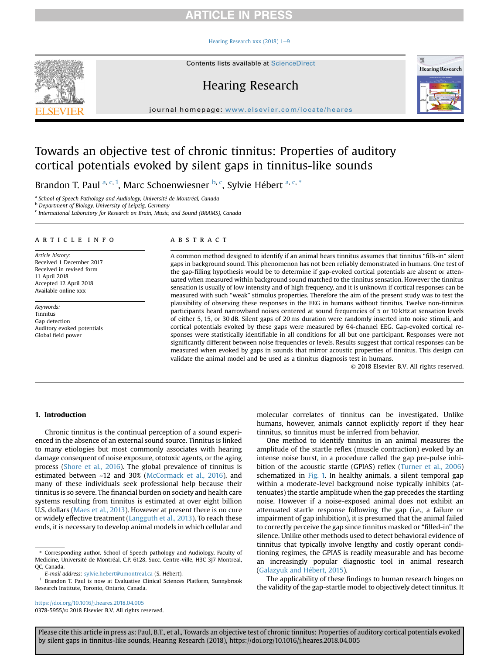# **RTICLE IN PRESS**

### Hearing Research xxx (2018)  $1-9$  $1-9$



Contents lists available at ScienceDirect

# Hearing Research



journal homepage: [www.elsevier.com/locate/heares](http://www.elsevier.com/locate/heares)

# Towards an objective test of chronic tinnitus: Properties of auditory cortical potentials evoked by silent gaps in tinnitus-like sounds

Brandon T. Paul <sup>a, c, 1</sup>, Marc Schoenwiesner <sup>b, c</sup>, Sylvie Hébert <sup>a, c, \*</sup>

<sup>a</sup> School of Speech Pathology and Audiology, Université de Montréal, Canada

**b** Department of Biology, University of Leipzig, Germany

<sup>c</sup> International Laboratory for Research on Brain, Music, and Sound (BRAMS), Canada

### article info

Article history: Received 1 December 2017 Received in revised form 11 April 2018 Accepted 12 April 2018 Available online xxx

Keywords: Tinnitus Gap detection Auditory evoked potentials Global field power

#### **ABSTRACT**

A common method designed to identify if an animal hears tinnitus assumes that tinnitus "fills-in" silent gaps in background sound. This phenomenon has not been reliably demonstrated in humans. One test of the gap-filling hypothesis would be to determine if gap-evoked cortical potentials are absent or attenuated when measured within background sound matched to the tinnitus sensation. However the tinnitus sensation is usually of low intensity and of high frequency, and it is unknown if cortical responses can be measured with such "weak" stimulus properties. Therefore the aim of the present study was to test the plausibility of observing these responses in the EEG in humans without tinnitus. Twelve non-tinnitus participants heard narrowband noises centered at sound frequencies of 5 or 10 kHz at sensation levels of either 5, 15, or 30 dB. Silent gaps of 20 ms duration were randomly inserted into noise stimuli, and cortical potentials evoked by these gaps were measured by 64-channel EEG. Gap-evoked cortical responses were statistically identifiable in all conditions for all but one participant. Responses were not significantly different between noise frequencies or levels. Results suggest that cortical responses can be measured when evoked by gaps in sounds that mirror acoustic properties of tinnitus. This design can validate the animal model and be used as a tinnitus diagnosis test in humans.

© 2018 Elsevier B.V. All rights reserved.

# 1. Introduction

Chronic tinnitus is the continual perception of a sound experienced in the absence of an external sound source. Tinnitus is linked to many etiologies but most commonly associates with hearing damage consequent of noise exposure, ototoxic agents, or the aging process [\(Shore et al., 2016\)](#page-8-0). The global prevalence of tinnitus is estimated between ~12 and 30% ([McCormack et al., 2016\)](#page-7-0), and many of these individuals seek professional help because their tinnitus is so severe. The financial burden on society and health care systems resulting from tinnitus is estimated at over eight billion U.S. dollars [\(Maes et al., 2013\)](#page-7-0). However at present there is no cure or widely effective treatment [\(Langguth et al., 2013](#page-7-0)). To reach these ends, it is necessary to develop animal models in which cellular and

<https://doi.org/10.1016/j.heares.2018.04.005>

molecular correlates of tinnitus can be investigated. Unlike humans, however, animals cannot explicitly report if they hear tinnitus, so tinnitus must be inferred from behavior.

One method to identify tinnitus in an animal measures the amplitude of the startle reflex (muscle contraction) evoked by an intense noise burst, in a procedure called the gap pre-pulse inhibition of the acoustic startle (GPIAS) reflex [\(Turner et al., 2006\)](#page-8-0) schematized in [Fig. 1.](#page-1-0) In healthy animals, a silent temporal gap within a moderate-level background noise typically inhibits (attenuates) the startle amplitude when the gap precedes the startling noise. However if a noise-exposed animal does not exhibit an attenuated startle response following the gap (i.e., a failure or impairment of gap inhibition), it is presumed that the animal failed to correctly perceive the gap since tinnitus masked or "filled-in" the silence. Unlike other methods used to detect behavioral evidence of tinnitus that typically involve lengthy and costly operant conditioning regimes, the GPIAS is readily measurable and has become an increasingly popular diagnostic tool in animal research ([Galazyuk and H](#page-7-0)é[bert, 2015](#page-7-0)).

The applicability of these findings to human research hinges on the validity of the gap-startle model to objectively detect tinnitus. It

<sup>\*</sup> Corresponding author. School of Speech pathology and Audiology, Faculty of Medicine, Université de Montréal, C.P. 6128, Succ. Centre-ville, H3C 3J7 Montreal, QC, Canada.

E-mail address: [sylvie.hebert@umontreal.ca](mailto:sylvie.hebert@umontreal.ca) (S. Hebert).

Brandon T. Paul is now at Evaluative Clinical Sciences Platform, Sunnybrook Research Institute, Toronto, Ontario, Canada.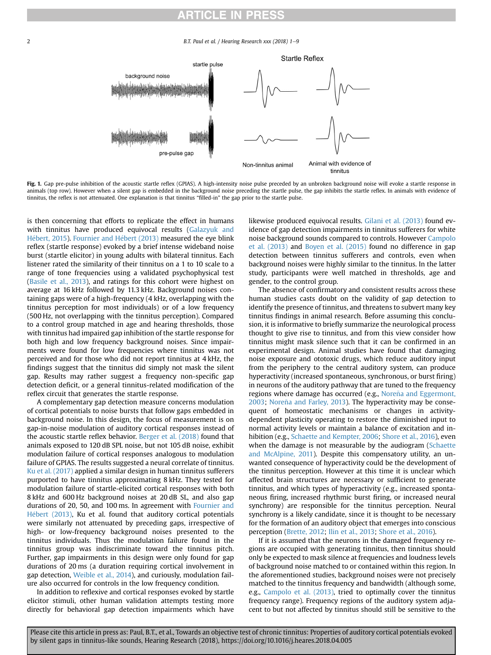# RTICLE IN PRES

B.T. Paul et al. / Hearing Research xxx (2018)  $1-9$ 

<span id="page-1-0"></span>

Fig. 1. Gap pre-pulse inhibition of the acoustic startle reflex (GPIAS). A high-intensity noise pulse preceded by an unbroken background noise will evoke a startle response in animals (top row). However when a silent gap is embedded in the background noise preceding the startle pulse, the gap inhibits the startle reflex. In animals with evidence of tinnitus, the reflex is not attenuated. One explanation is that tinnitus "filled-in" the gap prior to the startle pulse.

is then concerning that efforts to replicate the effect in humans with tinnitus have produced equivocal results ([Galazyuk and](#page-7-0) Hébert, 2015). Fournier and Hébert (2013) measured the eye blink reflex (startle response) evoked by a brief intense wideband noise burst (startle elicitor) in young adults with bilateral tinnitus. Each listener rated the similarity of their tinnitus on a 1 to 10 scale to a range of tone frequencies using a validated psychophysical test ([Basile et al., 2013](#page-7-0)), and ratings for this cohort were highest on average at 16 kHz followed by 11.3 kHz. Background noises containing gaps were of a high-frequency (4 kHz, overlapping with the tinnitus perception for most individuals) or of a low frequency (500 Hz, not overlapping with the tinnitus perception). Compared to a control group matched in age and hearing thresholds, those with tinnitus had impaired gap inhibition of the startle response for both high and low frequency background noises. Since impairments were found for low frequencies where tinnitus was not perceived and for those who did not report tinnitus at 4 kHz, the findings suggest that the tinnitus did simply not mask the silent gap. Results may rather suggest a frequency non-specific gap detection deficit, or a general tinnitus-related modification of the reflex circuit that generates the startle response.

A complementary gap detection measure concerns modulation of cortical potentials to noise bursts that follow gaps embedded in background noise. In this design, the focus of measurement is on gap-in-noise modulation of auditory cortical responses instead of the acoustic startle reflex behavior. [Berger et al. \(2018\)](#page-7-0) found that animals exposed to 120 dB SPL noise, but not 105 dB noise, exhibit modulation failure of cortical responses analogous to modulation failure of GPIAS. The results suggested a neural correlate of tinnitus. [Ku et al. \(2017\)](#page-7-0) applied a similar design in human tinnitus sufferers purported to have tinnitus approximating 8 kHz. They tested for modulation failure of startle-elicited cortical responses with both 8 kHz and 600 Hz background noises at 20 dB SL, and also gap durations of 20, 50, and 100 ms. In agreement with [Fournier and](#page-7-0) Hébert (2013), Ku et al. found that auditory cortical potentials were similarly not attenuated by preceding gaps, irrespective of high- or low-frequency background noises presented to the tinnitus individuals. Thus the modulation failure found in the tinnitus group was indiscriminate toward the tinnitus pitch. Further, gap impairments in this design were only found for gap durations of 20 ms (a duration requiring cortical involvement in gap detection, [Weible et al., 2014](#page-8-0)), and curiously, modulation failure also occurred for controls in the low frequency condition.

In addition to reflexive and cortical responses evoked by startle elicitor stimuli, other human validation attempts testing more directly for behavioral gap detection impairments which have

likewise produced equivocal results. [Gilani et al. \(2013\)](#page-7-0) found evidence of gap detection impairments in tinnitus sufferers for white noise background sounds compared to controls. However [Campolo](#page-7-0) [et al. \(2013\)](#page-7-0) and [Boyen et al. \(2015\)](#page-7-0) found no difference in gap detection between tinnitus sufferers and controls, even when background noises were highly similar to the tinnitus. In the latter study, participants were well matched in thresholds, age and gender, to the control group.

The absence of confirmatory and consistent results across these human studies casts doubt on the validity of gap detection to identify the presence of tinnitus, and threatens to subvert many key tinnitus findings in animal research. Before assuming this conclusion, it is informative to briefly summarize the neurological process thought to give rise to tinnitus, and from this view consider how tinnitus might mask silence such that it can be confirmed in an experimental design. Animal studies have found that damaging noise exposure and ototoxic drugs, which reduce auditory input from the periphery to the central auditory system, can produce hyperactivity (increased spontaneous, synchronous, or burst firing) in neurons of the auditory pathway that are tuned to the frequency regions where damage has occurred (e.g., Noreña and Eggermont, [2003](#page-8-0); Noreña and Farley, 2013). The hyperactivity may be consequent of homeostatic mechanisms or changes in activitydependent plasticity operating to restore the diminished input to normal activity levels or maintain a balance of excitation and inhibition (e.g., [Schaette and Kempter, 2006;](#page-8-0) [Shore et al., 2016\)](#page-8-0), even when the damage is not measurable by the audiogram ([Schaette](#page-8-0) [and McAlpine, 2011](#page-8-0)). Despite this compensatory utility, an unwanted consequence of hyperactivity could be the development of the tinnitus perception. However at this time it is unclear which affected brain structures are necessary or sufficient to generate tinnitus, and which types of hyperactivity (e.g., increased spontaneous firing, increased rhythmic burst firing, or increased neural synchrony) are responsible for the tinnitus perception. Neural synchrony is a likely candidate, since it is thought to be necessary for the formation of an auditory object that emerges into conscious perception ([Brette, 2012](#page-7-0); [Ilin et al., 2013;](#page-7-0) [Shore et al., 2016\)](#page-8-0).

If it is assumed that the neurons in the damaged frequency regions are occupied with generating tinnitus, then tinnitus should only be expected to mask silence at frequencies and loudness levels of background noise matched to or contained within this region. In the aforementioned studies, background noises were not precisely matched to the tinnitus frequency and bandwidth (although some, e.g., [Campolo et al. \(2013\),](#page-7-0) tried to optimally cover the tinnitus frequency range). Frequency regions of the auditory system adjacent to but not affected by tinnitus should still be sensitive to the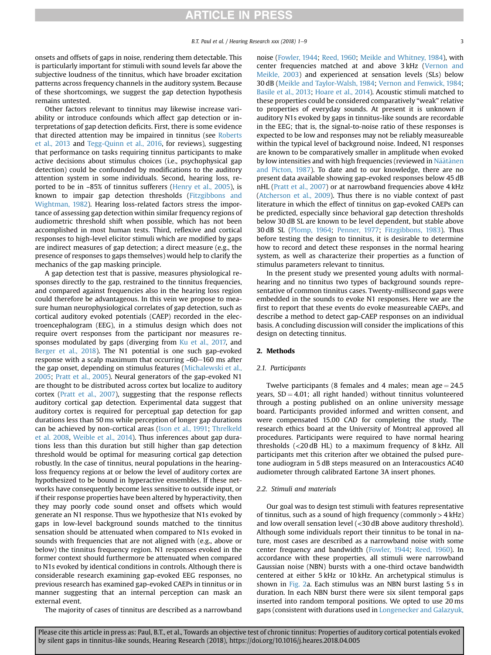onsets and offsets of gaps in noise, rendering them detectable. This is particularly important for stimuli with sound levels far above the subjective loudness of the tinnitus, which have broader excitation patterns across frequency channels in the auditory system. Because of these shortcomings, we suggest the gap detection hypothesis remains untested.

Other factors relevant to tinnitus may likewise increase variability or introduce confounds which affect gap detection or interpretations of gap detection deficits. First, there is some evidence that directed attention may be impaired in tinnitus (see [Roberts](#page-8-0) [et al., 2013](#page-8-0) and [Tegg-Quinn et al., 2016](#page-8-0), for reviews), suggesting that performance on tasks requiring tinnitus participants to make active decisions about stimulus choices (i.e., psychophysical gap detection) could be confounded by modifications to the auditory attention system in some individuals. Second, hearing loss, reported to be in ~85% of tinnitus sufferers [\(Henry et al., 2005](#page-7-0)), is known to impair gap detection thresholds [\(Fitzgibbons and](#page-7-0) [Wightman, 1982](#page-7-0)). Hearing loss-related factors stress the importance of assessing gap detection within similar frequency regions of audiometric threshold shift when possible, which has not been accomplished in most human tests. Third, reflexive and cortical responses to high-level elicitor stimuli which are modified by gaps are indirect measures of gap detection; a direct measure (e.g., the presence of responses to gaps themselves) would help to clarify the mechanics of the gap masking principle.

A gap detection test that is passive, measures physiological responses directly to the gap, restrained to the tinnitus frequencies, and compared against frequencies also in the hearing loss region could therefore be advantageous. In this vein we propose to measure human neurophysiological correlates of gap detection, such as cortical auditory evoked potentials (CAEP) recorded in the electroencephalogram (EEG), in a stimulus design which does not require overt responses from the participant nor measures responses modulated by gaps (diverging from [Ku et al., 2017,](#page-7-0) and [Berger et al., 2018\)](#page-7-0). The N1 potential is one such gap-evoked response with a scalp maximum that occurring  $~60-160$  ms after the gap onset, depending on stimulus features ([Michalewski et al.,](#page-8-0) [2005;](#page-8-0) [Pratt et al., 2005](#page-8-0)). Neural generators of the gap-evoked N1 are thought to be distributed across cortex but localize to auditory cortex [\(Pratt et al., 2007\)](#page-8-0), suggesting that the response reflects auditory cortical gap detection. Experimental data suggest that auditory cortex is required for perceptual gap detection for gap durations less than 50 ms while perception of longer gap durations can be achieved by non-cortical areas ([Ison et al., 1991](#page-7-0); [Threlkeld](#page-8-0) [et al. 2008,](#page-8-0) [Weible et al., 2014](#page-8-0)). Thus inferences about gap durations less than this duration but still higher than gap detection threshold would be optimal for measuring cortical gap detection robustly. In the case of tinnitus, neural populations in the hearingloss frequency regions at or below the level of auditory cortex are hypothesized to be bound in hyperactive ensembles. If these networks have consequently become less sensitive to outside input, or if their response properties have been altered by hyperactivity, then they may poorly code sound onset and offsets which would generate an N1 response. Thus we hypothesize that N1s evoked by gaps in low-level background sounds matched to the tinnitus sensation should be attenuated when compared to N1s evoked in sounds with frequencies that are not aligned with (e.g., above or below) the tinnitus frequency region. N1 responses evoked in the former context should furthermore be attenuated when compared to N1s evoked by identical conditions in controls. Although there is considerable research examining gap-evoked EEG responses, no previous research has examined gap-evoked CAEPs in tinnitus or in manner suggesting that an internal perception can mask an external event.

The majority of cases of tinnitus are described as a narrowband

noise [\(Fowler, 1944](#page-7-0); [Reed, 1960;](#page-8-0) [Meikle and Whitney, 1984](#page-8-0)), with center frequencies matched at and above 3 kHz ([Vernon and](#page-8-0) [Meikle, 2003\)](#page-8-0) and experienced at sensation levels (SLs) below 30 dB ([Meikle and Taylor-Walsh, 1984](#page-8-0); [Vernon and Fenwick, 1984;](#page-8-0) [Basile et al., 2013](#page-7-0); [Hoare et al., 2014\)](#page-7-0). Acoustic stimuli matched to these properties could be considered comparatively "weak" relative to properties of everyday sounds. At present it is unknown if auditory N1s evoked by gaps in tinnitus-like sounds are recordable in the EEG; that is, the signal-to-noise ratio of these responses is expected to be low and responses may not be reliably measureable within the typical level of background noise. Indeed, N1 responses are known to be comparatively smaller in amplitude when evoked by low in[t](#page-8-0)ensities and with high frequencies (reviewed in Näätänen [and Picton, 1987\)](#page-8-0). To date and to our knowledge, there are no present data available showing gap-evoked responses below 45 dB nHL [\(Pratt et al., 2007](#page-8-0)) or at narrowband frequencies above 4 kHz ([Atcherson et al., 2009\)](#page-7-0). Thus there is no viable context of past literature in which the effect of tinnitus on gap-evoked CAEPs can be predicted, especially since behavioral gap detection thresholds below 30 dB SL are known to be level dependent, but stable above 30 dB SL [\(Plomp, 1964;](#page-8-0) [Penner, 1977;](#page-8-0) [Fitzgibbons, 1983\)](#page-7-0). Thus before testing the design to tinnitus, it is desirable to determine how to record and detect these responses in the normal hearing system, as well as characterize their properties as a function of stimulus parameters relevant to tinnitus.

In the present study we presented young adults with normalhearing and no tinnitus two types of background sounds representative of common tinnitus cases. Twenty-millisecond gaps were embedded in the sounds to evoke N1 responses. Here we are the first to report that these events do evoke measureable CAEPs, and describe a method to detect gap-CAEP responses on an individual basis. A concluding discussion will consider the implications of this design on detecting tinnitus.

#### 2. Methods

#### 2.1. Participants

Twelve participants (8 females and 4 males; mean  $age = 24.5$ years,  $SD = 4.01$ ; all right handed) without tinnitus volunteered through a posting published on an online university message board. Participants provided informed and written consent, and were compensated 15.00 CAD for completing the study. The research ethics board at the University of Montreal approved all procedures. Participants were required to have normal hearing thresholds (<20 dB HL) to a maximum frequency of 8 kHz. All participants met this criterion after we obtained the pulsed puretone audiogram in 5 dB steps measured on an Interacoustics AC40 audiometer through calibrated Eartone 3A insert phones.

# 2.2. Stimuli and materials

Our goal was to design test stimuli with features representative of tinnitus, such as a sound of high frequency (commonly  $>$  4 kHz) and low overall sensation level (<30 dB above auditory threshold). Although some individuals report their tinnitus to be tonal in nature, most cases are described as a narrowband noise with some center frequency and bandwidth ([Fowler, 1944;](#page-7-0) [Reed, 1960](#page-8-0)). In accordance with these properties, all stimuli were narrowband Gaussian noise (NBN) bursts with a one-third octave bandwidth centered at either 5 kHz or 10 kHz. An archetypical stimulus is shown in [Fig. 2](#page-3-0)a. Each stimulus was an NBN burst lasting 5 s in duration. In each NBN burst there were six silent temporal gaps inserted into random temporal positions. We opted to use 20 ms gaps (consistent with durations used in [Longenecker and Galazyuk,](#page-7-0)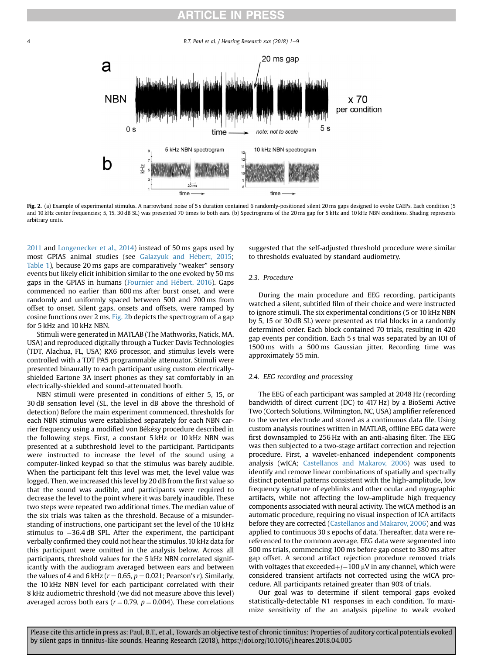# RTICLE IN PRES

B.T. Paul et al. / Hearing Research xxx (2018)  $1-9$ 

<span id="page-3-0"></span>

Fig. 2. (a) Example of experimental stimulus. A narrowband noise of 5 s duration contained 6 randomly-positioned silent 20 ms gaps designed to evoke CAEPs. Each condition (5 and 10 kHz center frequencies; 5, 15, 30 dB SL) was presented 70 times to both ears. (b) Spectrograms of the 20 ms gap for 5 kHz and 10 kHz NBN conditions. Shading represents arbitrary units.

[2011](#page-7-0) and [Longenecker et al., 2014\)](#page-7-0) instead of 50 ms gaps used by most GPIAS animal studies (see Galazyuk and Hébert, 2015; [Table 1](#page-5-0)), because 20 ms gaps are comparatively "weaker" sensory events but likely elicit inhibition similar to the one evoked by 50 ms gaps in the GPIAS in humans (Fournier and Hébert, 2016). Gaps commenced no earlier than 600 ms after burst onset, and were randomly and uniformly spaced between 500 and 700 ms from offset to onset. Silent gaps, onsets and offsets, were ramped by cosine functions over 2 ms. Fig. 2b depicts the spectrogram of a gap for 5 kHz and 10 kHz NBN.

Stimuli were generated in MATLAB (The Mathworks, Natick, MA, USA) and reproduced digitally through a Tucker Davis Technologies (TDT, Alachua, FL, USA) RX6 processor, and stimulus levels were controlled with a TDT PA5 programmable attenuator. Stimuli were presented binaurally to each participant using custom electricallyshielded Eartone 3A insert phones as they sat comfortably in an electrically-shielded and sound-attenuated booth.

NBN stimuli were presented in conditions of either 5, 15, or 30 dB sensation level (SL, the level in dB above the threshold of detection) Before the main experiment commenced, thresholds for each NBN stimulus were established separately for each NBN carrier frequency using a modified von Békésy procedure described in the following steps. First, a constant 5 kHz or 10 kHz NBN was presented at a subthreshold level to the participant. Participants were instructed to increase the level of the sound using a computer-linked keypad so that the stimulus was barely audible. When the participant felt this level was met, the level value was logged. Then, we increased this level by 20 dB from the first value so that the sound was audible, and participants were required to decrease the level to the point where it was barely inaudible. These two steps were repeated two additional times. The median value of the six trials was taken as the threshold. Because of a misunderstanding of instructions, one participant set the level of the 10 kHz stimulus to -36.4 dB SPL. After the experiment, the participant verbally confirmed they could not hear the stimulus. 10 kHz data for this participant were omitted in the analysis below. Across all participants, threshold values for the 5 kHz NBN correlated significantly with the audiogram averaged between ears and between the values of 4 and 6 kHz ( $r = 0.65$ ,  $p = 0.021$ ; Pearson's r). Similarly, the 10 kHz NBN level for each participant correlated with their 8 kHz audiometric threshold (we did not measure above this level) averaged across both ears ( $r = 0.79$ ,  $p = 0.004$ ). These correlations suggested that the self-adjusted threshold procedure were similar to thresholds evaluated by standard audiometry.

# 2.3. Procedure

During the main procedure and EEG recording, participants watched a silent, subtitled film of their choice and were instructed to ignore stimuli. The six experimental conditions (5 or 10 kHz NBN by 5, 15 or 30 dB SL) were presented as trial blocks in a randomly determined order. Each block contained 70 trials, resulting in 420 gap events per condition. Each 5 s trial was separated by an IOI of 1500 ms with a 500 ms Gaussian jitter. Recording time was approximately 55 min.

### 2.4. EEG recording and processing

The EEG of each participant was sampled at 2048 Hz (recording bandwidth of direct current (DC) to 417 Hz) by a BioSemi Active Two (Cortech Solutions, Wilmington, NC, USA) amplifier referenced to the vertex electrode and stored as a continuous data file. Using custom analysis routines written in MATLAB, offline EEG data were first downsampled to 256 Hz with an anti-aliasing filter. The EEG was then subjected to a two-stage artifact correction and rejection procedure. First, a wavelet-enhanced independent components analysis (wICA; [Castellanos and Makarov, 2006\)](#page-7-0) was used to identify and remove linear combinations of spatially and spectrally distinct potential patterns consistent with the high-amplitude, low frequency signature of eyeblinks and other ocular and myographic artifacts, while not affecting the low-amplitude high frequency components associated with neural activity. The wICA method is an automatic procedure, requiring no visual inspection of ICA artifacts before they are corrected ([Castellanos and Makarov, 2006\)](#page-7-0) and was applied to continuous 30 s epochs of data. Thereafter, data were rereferenced to the common average. EEG data were segmented into 500 ms trials, commencing 100 ms before gap onset to 380 ms after gap offset. A second artifact rejection procedure removed trials with voltages that exceeded $+/-100$   $\mu$ V in any channel, which were considered transient artifacts not corrected using the wICA procedure. All participants retained greater than 90% of trials.

Our goal was to determine if silent temporal gaps evoked statistically-detectable N1 responses in each condition. To maximize sensitivity of the an analysis pipeline to weak evoked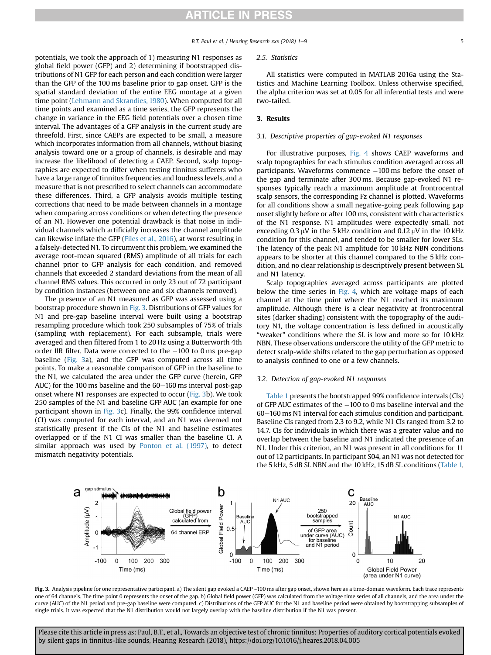# **RTICLE IN PRESS**

#### B.T. Paul et al. / Hearing Research  $xxx$  (2018) 1–9  $5$

potentials, we took the approach of 1) measuring N1 responses as global field power (GFP) and 2) determining if bootstrapped distributions of N1 GFP for each person and each condition were larger than the GFP of the 100 ms baseline prior to gap onset. GFP is the spatial standard deviation of the entire EEG montage at a given time point [\(Lehmann and Skrandies, 1980](#page-7-0)). When computed for all time points and examined as a time series, the GFP represents the change in variance in the EEG field potentials over a chosen time interval. The advantages of a GFP analysis in the current study are threefold. First, since CAEPs are expected to be small, a measure which incorporates information from all channels, without biasing analysis toward one or a group of channels, is desirable and may increase the likelihood of detecting a CAEP. Second, scalp topographies are expected to differ when testing tinnitus sufferers who have a large range of tinnitus frequencies and loudness levels, and a measure that is not prescribed to select channels can accommodate these differences. Third, a GFP analysis avoids multiple testing corrections that need to be made between channels in a montage when comparing across conditions or when detecting the presence of an N1. However one potential drawback is that noise in individual channels which artificially increases the channel amplitude can likewise inflate the GFP [\(Files et al., 2016](#page-7-0)), at worst resulting in a falsely-detected N1. To circumvent this problem, we examined the average root-mean squared (RMS) amplitude of all trials for each channel prior to GFP analysis for each condition, and removed channels that exceeded 2 standard deviations from the mean of all channel RMS values. This occurred in only 23 out of 72 participant by condition instances (between one and six channels removed).

The presence of an N1 measured as GFP was assessed using a bootstrap procedure shown in Fig. 3. Distributions of GFP values for N1 and pre-gap baseline interval were built using a bootstrap resampling procedure which took 250 subsamples of 75% of trials (sampling with replacement). For each subsample, trials were averaged and then filtered from 1 to 20 Hz using a Butterworth 4th order IIR filter. Data were corrected to the  $-100$  to 0 ms pre-gap baseline (Fig. 3a), and the GFP was computed across all time points. To make a reasonable comparison of GFP in the baseline to the N1, we calculated the area under the GFP curve (herein, GFP AUC) for the 100 ms baseline and the  $60-160$  ms interval post-gap onset where N1 responses are expected to occur (Fig. 3b). We took 250 samples of the N1 and baseline GFP AUC (an example for one participant shown in Fig. 3c). Finally, the 99% confidence interval (CI) was computed for each interval, and an N1 was deemed not statistically present if the CIs of the N1 and baseline estimates overlapped or if the N1 CI was smaller than the baseline CI. A similar approach was used by [Ponton et al. \(1997\)](#page-8-0), to detect mismatch negativity potentials.

#### 2.5. Statistics

All statistics were computed in MATLAB 2016a using the Statistics and Machine Learning Toolbox. Unless otherwise specified, the alpha criterion was set at 0.05 for all inferential tests and were two-tailed.

# 3. Results

### 3.1. Descriptive properties of gap-evoked N1 responses

For illustrative purposes, [Fig. 4](#page-5-0) shows CAEP waveforms and scalp topographies for each stimulus condition averaged across all participants. Waveforms commence -100 ms before the onset of the gap and terminate after 300 ms. Because gap-evoked N1 responses typically reach a maximum amplitude at frontrocentral scalp sensors, the corresponding Fz channel is plotted. Waveforms for all conditions show a small negative-going peak following gap onset slightly before or after 100 ms, consistent with characteristics of the N1 response. N1 amplitudes were expectedly small, not exceeding  $0.3 \mu$ V in the 5 kHz condition and  $0.12 \mu$ V in the 10 kHz condition for this channel, and tended to be smaller for lower SLs. The latency of the peak N1 amplitude for 10 kHz NBN conditions appears to be shorter at this channel compared to the 5 kHz condition, and no clear relationship is descriptively present between SL and N1 latency.

Scalp topographies averaged across participants are plotted below the time series in [Fig. 4,](#page-5-0) which are voltage maps of each channel at the time point where the N1 reached its maximum amplitude. Although there is a clear negativity at frontrocentral sites (darker shading) consistent with the topography of the auditory N1, the voltage concentration is less defined in acoustically "weaker" conditions where the SL is low and more so for 10 kHz NBN. These observations underscore the utility of the GFP metric to detect scalp-wide shifts related to the gap perturbation as opposed to analysis confined to one or a few channels.

#### 3.2. Detection of gap-evoked N1 responses

[Table 1](#page-5-0) presents the bootstrapped 99% confidence intervals (CIs) of GFP AUC estimates of the  $-100$  to 0 ms baseline interval and the 60-160 ms N1 interval for each stimulus condition and participant. Baseline CIs ranged from 2.3 to 9.2, while N1 CIs ranged from 3.2 to 14.7. CIs for individuals in which there was a greater value and no overlap between the baseline and N1 indicated the presence of an N1. Under this criterion, an N1 was present in all conditions for 11 out of 12 participants. In participant S04, an N1 was not detected for the 5 kHz, 5 dB SL NBN and the 10 kHz, 15 dB SL conditions ([Table 1,](#page-5-0)



Fig. 3. Analysis pipeline for one representative participant. a) The silent gap evoked a CAEP ~100 ms after gap onset, shown here as a time-domain waveform. Each trace represents one of 64 channels. The time point 0 represents the onset of the gap. b) Global field power (GFP) was calculated from the voltage time series of all channels, and the area under the curve (AUC) of the N1 period and pre-gap baseline were computed. c) Distributions of the GFP AUC for the N1 and baseline period were obtained by bootstrapping subsamples of single trials. It was expected that the N1 distribution would not largely overlap with the baseline distribution if the N1 was present.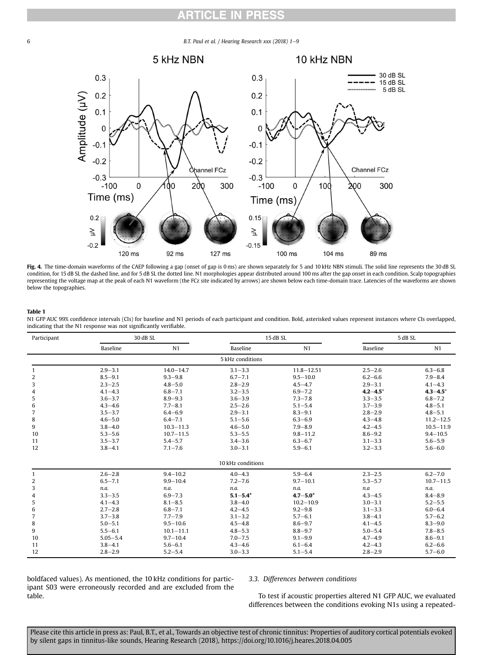# RTICLE IN PR

<span id="page-5-0"></span>6 **B.T. Paul et al. / Hearing Research xxx (2018) 1–9** 



Fig. 4. The time-domain waveforms of the CAEP following a gap (onset of gap is 0 ms) are shown separately for 5 and 10 kHz NBN stimuli. The solid line represents the 30 dB SL condition, for 15 dB SL the dashed line, and for 5 dB SL the dotted line. N1 morphologies appear distributed around 100 ms after the gap onset in each condition. Scalp topographies representing the voltage map at the peak of each N1 waveform (the FCz site indicated by arrows) are shown below each time-domain trace. Latencies of the waveforms are shown below the topographies.

#### Table 1

N1 GFP AUC 99% confidence intervals (CIs) for baseline and N1 periods of each participant and condition. Bold, asterisked values represent instances where CIs overlapped, indicating that the N1 response was not significantly verifiable.

| Participant  | 30 dB SL     |               | 15 dB SL          |                | 5 dB SL      |               |
|--------------|--------------|---------------|-------------------|----------------|--------------|---------------|
|              | Baseline     | N1            | Baseline          | N1             | Baseline     | N1            |
|              |              |               | 5 kHz conditions  |                |              |               |
| $\mathbf{1}$ | $2.9 - 3.1$  | $14.0 - 14.7$ | $3.1 - 3.3$       | $11.8 - 12.51$ | $2.5 - 2.6$  | $6.3 - 6.8$   |
| 2            | $8.5 - 9.1$  | $9.3 - 9.8$   | $6.7 - 7.1$       | $9.5 - 10.0$   | $6.2 - 6.6$  | $7.9 - 8.4$   |
| 3            | $2.3 - 2.5$  | $4.8 - 5.0$   | $2.8 - 2.9$       | $4.5 - 4.7$    | $2.9 - 3.1$  | $4.1 - 4.3$   |
| 4            | $4.1 - 4.3$  | $6.8 - 7.1$   | $3.2 - 3.5$       | $6.9 - 7.2$    | $4.2 - 4.5*$ | $4.3 - 4.5*$  |
| 5            | $3.6 - 3.7$  | $8.9 - 9.3$   | $3.6 - 3.9$       | $7.3 - 7.8$    | $3.3 - 3.5$  | $6.8 - 7.2$   |
| 6            | $4.3 - 4.6$  | $7.7 - 8.1$   | $2.5 - 2.6$       | $5.1 - 5.4$    | $3.7 - 3.9$  | $4.8 - 5.1$   |
| 7            | $3.5 - 3.7$  | $6.4 - 6.9$   | $2.9 - 3.1$       | $8.3 - 9.1$    | $2.8 - 2.9$  | $4.8 - 5.1$   |
| 8            | $4.6 - 5.0$  | $6.4 - 7.1$   | $5.1 - 5.6$       | $6.3 - 6.9$    | $4.3 - 4.8$  | $11.2 - 12.5$ |
| 9            | $3.8 - 4.0$  | $10.3 - 11.3$ | $4.6 - 5.0$       | $7.9 - 8.9$    | $4.2 - 4.5$  | $10.5 - 11.9$ |
| 10           | $5.3 - 5.6$  | $10.7 - 11.5$ | $5.3 - 5.5$       | $9.8 - 11.2$   | $8.6 - 9.2$  | $9.4 - 10.5$  |
| 11           | $3.5 - 3.7$  | $5.4 - 5.7$   | $3.4 - 3.6$       | $6.3 - 6.7$    | $3.1 - 3.3$  | $5.6 - 5.9$   |
| 12           | $3.8 - 4.1$  | $7.1 - 7.6$   | $3.0 - 3.1$       | $5.9 - 6.1$    | $3.2 - 3.3$  | $5.6 - 6.0$   |
|              |              |               | 10 kHz conditions |                |              |               |
| $\mathbf{1}$ | $2.6 - 2.8$  | $9.4 - 10.2$  | $4.0 - 4.3$       | $5.9 - 6.4$    | $2.3 - 2.5$  | $6.2 - 7.0$   |
| 2            | $6.5 - 7.1$  | $9.9 - 10.4$  | $7.2 - 7.6$       | $9.7 - 10.1$   | $5.3 - 5.7$  | $10.7 - 11.5$ |
| 3            | n.a.         | n.a.          | n.a.              | n.a.           | n.a          | n.a.          |
| 4            | $3.3 - 3.5$  | $6.9 - 7.3$   | $5.1 - 5.4*$      | $4.7 - 5.0*$   | $4.3 - 4.5$  | $8.4 - 8.9$   |
| 5            | $4.1 - 4.3$  | $8.1 - 8.5$   | $3.8 - 4.0$       | $10.2 - 10.9$  | $3.0 - 3.1$  | $5.2 - 5.5$   |
| 6            | $2.7 - 2.8$  | $6.8 - 7.1$   | $4.2 - 4.5$       | $9.2 - 9.8$    | $3.1 - 3.3$  | $6.0 - 6.4$   |
| 7            | $3.7 - 3.8$  | $7.7 - 7.9$   | $3.1 - 3.2$       | $5.7 - 6.1$    | $3.8 - 4.1$  | $5.7 - 6.2$   |
| 8            | $5.0 - 5.1$  | $9.5 - 10.6$  | $4.5 - 4.8$       | $8.6 - 9.7$    | $4.1 - 4.5$  | $8.3 - 9.0$   |
| 9            | $5.5 - 6.1$  | $10.1 - 11.1$ | $4.8 - 5.3$       | $8.8 - 9.7$    | $5.0 - 5.4$  | $7.8 - 8.5$   |
| 10           | $5.05 - 5.4$ | $9.7 - 10.4$  | $7.0 - 7.5$       | $9.1 - 9.9$    | $4.7 - 4.9$  | $8.6 - 9.1$   |
| 11           | $3.8 - 4.1$  | $5.6 - 6.1$   | $4.3 - 4.6$       | $6.1 - 6.4$    | $4.2 - 4.3$  | $6.2 - 6.6$   |
| 12           | $2.8 - 2.9$  | $5.2 - 5.4$   | $3.0 - 3.3$       | $5.1 - 5.4$    | $2.8 - 2.9$  | $5.7 - 6.0$   |

boldfaced values). As mentioned, the 10 kHz conditions for participant S03 were erroneously recorded and are excluded from the table.

## 3.3. Differences between conditions

To test if acoustic properties altered N1 GFP AUC, we evaluated differences between the conditions evoking N1s using a repeated-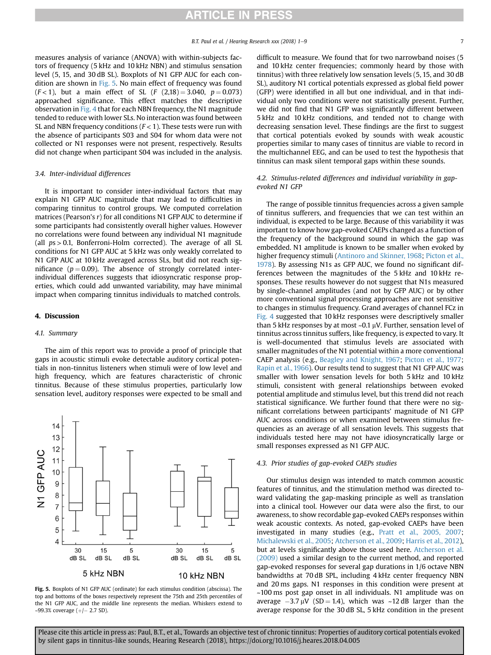measures analysis of variance (ANOVA) with within-subjects factors of frequency (5 kHz and 10 kHz NBN) and stimulus sensation level (5, 15, and 30 dB SL). Boxplots of N1 GFP AUC for each condition are shown in Fig. 5. No main effect of frequency was found  $(F < 1)$ , but a main effect of SL  $(F (2, 18) = 3.040, p = 0.073)$ approached significance. This effect matches the descriptive observation in [Fig. 4](#page-5-0) that for each NBN frequency, the N1 magnitude tended to reduce with lower SLs. No interaction was found between SL and NBN frequency conditions ( $F < 1$ ). These tests were run with the absence of participants S03 and S04 for whom data were not collected or N1 responses were not present, respectively. Results did not change when participant S04 was included in the analysis.

#### 3.4. Inter-individual differences

It is important to consider inter-individual factors that may explain N1 GFP AUC magnitude that may lead to difficulties in comparing tinnitus to control groups. We computed correlation matrices (Pearson's r) for all conditions N1 GFP AUC to determine if some participants had consistently overall higher values. However no correlations were found between any individual N1 magnitude (all  $ps > 0.1$ , Bonferroni-Holm corrected). The average of all SL conditions for N1 GFP AUC at 5 kHz was only weakly correlated to N1 GFP AUC at 10 kHz averaged across SLs, but did not reach significance ( $p = 0.09$ ). The absence of strongly correlated interindividual differences suggests that idiosyncratic response properties, which could add unwanted variability, may have minimal impact when comparing tinnitus individuals to matched controls.

# 4. Discussion

### 4.1. Summary

The aim of this report was to provide a proof of principle that gaps in acoustic stimuli evoke detectable auditory cortical potentials in non-tinnitus listeners when stimuli were of low level and high frequency, which are features characteristic of chronic tinnitus. Because of these stimulus properties, particularly low sensation level, auditory responses were expected to be small and



Fig. 5. Boxplots of N1 GFP AUC (ordinate) for each stimulus condition (abscissa). The top and bottoms of the boxes respectively represent the 75th and 25th percentiles of the N1 GFP AUC, and the middle line represents the median. Whiskers extend to  $\sim$ 99.3% coverage (+/ $-$  2.7 SD).

difficult to measure. We found that for two narrowband noises (5 and 10 kHz center frequencies; commonly heard by those with tinnitus) with three relatively low sensation levels (5, 15, and 30 dB SL), auditory N1 cortical potentials expressed as global field power (GFP) were identified in all but one individual, and in that individual only two conditions were not statistically present. Further, we did not find that N1 GFP was significantly different between 5 kHz and 10 kHz conditions, and tended not to change with decreasing sensation level. These findings are the first to suggest that cortical potentials evoked by sounds with weak acoustic properties similar to many cases of tinnitus are viable to record in the multichannel EEG, and can be used to test the hypothesis that tinnitus can mask silent temporal gaps within these sounds.

# 4.2. Stimulus-related differences and individual variability in gapevoked N1 GFP

The range of possible tinnitus frequencies across a given sample of tinnitus sufferers, and frequencies that we can test within an individual, is expected to be large. Because of this variability it was important to know how gap-evoked CAEPs changed as a function of the frequency of the background sound in which the gap was embedded. N1 amplitude is known to be smaller when evoked by higher frequency stimuli [\(Antinoro and Skinner, 1968;](#page-7-0) [Picton et al.,](#page-8-0) [1978\)](#page-8-0). By assessing N1s as GFP AUC, we found no significant differences between the magnitudes of the 5 kHz and 10 kHz responses. These results however do not suggest that N1s measured by single-channel amplitudes (and not by GFP AUC) or by other more conventional signal processing approaches are not sensitive to changes in stimulus frequency. Grand averages of channel FCz in [Fig. 4](#page-5-0) suggested that 10 kHz responses were descriptively smaller than 5 kHz responses by at most  $\sim$ 0.1  $\mu$ V. Further, sensation level of tinnitus across tinnitus suffers, like frequency, is expected to vary. It is well-documented that stimulus levels are associated with smaller magnitudes of the N1 potential within a more conventional CAEP analysis (e.g., [Beagley and Knight, 1967](#page-7-0); [Picton et al., 1977;](#page-8-0) [Rapin et al., 1966\)](#page-8-0). Our results tend to suggest that N1 GFP AUC was smaller with lower sensation levels for both 5 kHz and 10 kHz stimuli, consistent with general relationships between evoked potential amplitude and stimulus level, but this trend did not reach statistical significance. We further found that there were no significant correlations between participants' magnitude of N1 GFP AUC across conditions or when examined between stimulus frequencies as an average of all sensation levels. This suggests that individuals tested here may not have idiosyncratically large or small responses expressed as N1 GFP AUC.

### 4.3. Prior studies of gap-evoked CAEPs studies

Our stimulus design was intended to match common acoustic features of tinnitus, and the stimulation method was directed toward validating the gap-masking principle as well as translation into a clinical tool. However our data were also the first, to our awareness, to show recordable gap-evoked CAEPs responses within weak acoustic contexts. As noted, gap-evoked CAEPs have been investigated in many studies (e.g., [Pratt et al., 2005, 2007;](#page-8-0) [Michalewski et al., 2005;](#page-8-0) [Atcherson et al., 2009;](#page-7-0) [Harris et al., 2012\)](#page-7-0), but at levels significantly above those used here. [Atcherson et al.](#page-7-0) [\(2009\)](#page-7-0) used a similar design to the current method, and reported gap-evoked responses for several gap durations in 1/6 octave NBN bandwidths at 70 dB SPL, including 4 kHz center frequency NBN and 20 ms gaps. N1 responses in this condition were present at ~100 ms post gap onset in all individuals. N1 amplitude was on average  $-3.7 \mu V$  (SD  $= 1.4$ ), which was  $\sim 12 \text{ dB}$  larger than the average response for the 30 dB SL, 5 kHz condition in the present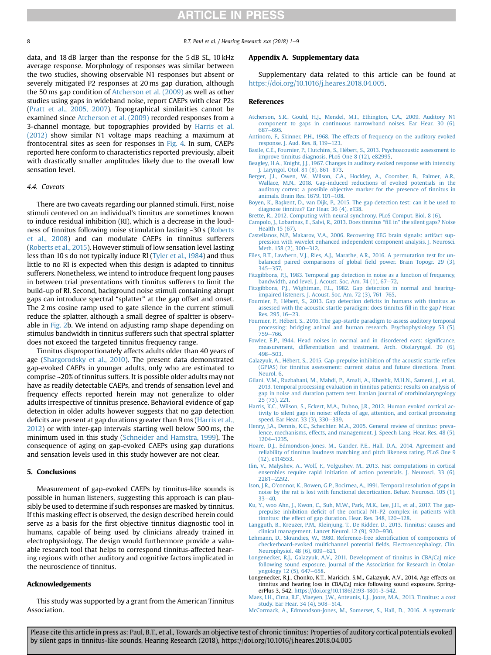# **ARTICLE IN PRESS**

<span id="page-7-0"></span>8 B.T. Paul et al. / Hearing Research xxx (2018) 1-9

data, and 18 dB larger than the response for the 5 dB SL, 10 kHz average response. Morphology of responses was similar between the two studies, showing observable N1 responses but absent or severely mitigated P2 responses at 20 ms gap duration, although the 50 ms gap condition of Atcherson et al. (2009) as well as other studies using gaps in wideband noise, report CAEPs with clear P2s ([Pratt et al., 2005, 2007\)](#page-8-0). Topographical similarities cannot be examined since Atcherson et al. (2009) recorded responses from a 3-channel montage, but topographies provided by Harris et al. (2012) show similar N1 voltage maps reaching a maximum at frontocentral sites as seen for responses in [Fig. 4](#page-5-0). In sum, CAEPs reported here conform to characteristics reported previously, albeit with drastically smaller amplitudes likely due to the overall low sensation level.

#### 4.4. Caveats

There are two caveats regarding our planned stimuli. First, noise stimuli centered on an individual's tinnitus are sometimes known to induce residual inhibition (RI), which is a decrease in the loudness of tinnitus following noise stimulation lasting ~30 s [\(Roberts](#page-8-0) [et al., 2008](#page-8-0)) and can modulate CAEPs in tinnitus sufferers ([Roberts et al., 2015\)](#page-8-0). However stimuli of low sensation level lasting less than 10 s do not typically induce RI [\(Tyler et al., 1984\)](#page-8-0) and thus little to no RI is expected when this design is adapted to tinnitus sufferers. Nonetheless, we intend to introduce frequent long pauses in between trial presentations with tinnitus sufferers to limit the build-up of RI. Second, background noise stimuli containing abrupt gaps can introduce spectral "splatter" at the gap offset and onset. The 2 ms cosine ramp used to gate silence in the current stimuli reduce the splatter, although a small degree of spaltter is observable in [Fig. 2b](#page-3-0). We intend on adjusting ramp shape depending on stimulus bandwidth in tinnitus sufferers such that spectral splatter does not exceed the targeted tinnitus frequency range.

Tinnitus disproportionately affects adults older than 40 years of age ([Shargorodsky et al., 2010\)](#page-8-0). The present data demonstrated gap-evoked CAEPs in younger adults, only who are estimated to comprise ~20% of tinnitus suffers. It is possible older adults may not have as readily detectable CAEPs, and trends of sensation level and frequency effects reported herein may not generalize to older adults irrespective of tinnitus presence. Behavioral evidence of gap detection in older adults however suggests that no gap detection deficits are present at gap durations greater than 9 ms (Harris et al., 2012) or with inter-gap intervals starting well below 500 ms, the minimum used in this study [\(Schneider and Hamstra, 1999\)](#page-8-0). The consequence of aging on gap-evoked CAEPs using gap durations and sensation levels used in this study however are not clear.

# 5. Conclusions

Measurement of gap-evoked CAEPs by tinnitus-like sounds is possible in human listeners, suggesting this approach is can plausibly be used to determine if such responses are masked by tinnitus. If this masking effect is observed, the design described herein could serve as a basis for the first objective tinnitus diagnostic tool in humans, capable of being used by clinicians already trained in electrophysiology. The design would furthermore provide a valuable research tool that helps to correspond tinnitus-affected hearing regions with other auditory and cognitive factors implicated in the neuroscience of tinnitus.

# Acknowledgements

This study was supported by a grant from the American Tinnitus Association.

#### Appendix A. Supplementary data

Supplementary data related to this article can be found at [https://doi.org/10.1016/j.heares.2018.04.005.](https://doi.org/10.1016/j.heares.2018.04.005)

## References

- [Atcherson, S.R., Gould, H.J., Mendel, M.I., Ethington, C.A., 2009. Auditory N1](http://refhub.elsevier.com/S0378-5955(17)30582-8/sref1) [component to gaps in continuous narrowband noises. Ear Hear. 30 \(6\),](http://refhub.elsevier.com/S0378-5955(17)30582-8/sref1) [687](http://refhub.elsevier.com/S0378-5955(17)30582-8/sref1)-[695](http://refhub.elsevier.com/S0378-5955(17)30582-8/sref1).
- [Antinoro, F., Skinner, P.H., 1968. The effects of frequency on the auditory evoked](http://refhub.elsevier.com/S0378-5955(17)30582-8/sref2) [response. J. Aud. Res. 8, 119](http://refhub.elsevier.com/S0378-5955(17)30582-8/sref2)-[123](http://refhub.elsevier.com/S0378-5955(17)30582-8/sref2).
- [Basile, C.](http://refhub.elsevier.com/S0378-5955(17)30582-8/sref3) E[., Fournier, P., Hutchins, S., Hebert, S., 2013. Psychoacoustic assessment to](http://refhub.elsevier.com/S0378-5955(17)30582-8/sref3) [improve tinnitus diagnosis. PLoS One 8 \(12\), e82995](http://refhub.elsevier.com/S0378-5955(17)30582-8/sref3).
- [Beagley, H.A., Knight, J.J., 1967. Changes in auditory evoked response with intensity.](http://refhub.elsevier.com/S0378-5955(17)30582-8/sref4) [J. Laryngol. Otol. 81 \(8\), 861](http://refhub.elsevier.com/S0378-5955(17)30582-8/sref4)-[873.](http://refhub.elsevier.com/S0378-5955(17)30582-8/sref4)
- [Berger, J.I., Owen, W., Wilson, C.A., Hockley, A., Coomber, B., Palmer, A.R.,](http://refhub.elsevier.com/S0378-5955(17)30582-8/sref5) [Wallace, M.N., 2018. Gap-induced reductions of evoked potentials in the](http://refhub.elsevier.com/S0378-5955(17)30582-8/sref5) [auditory cortex: a possible objective marker for the presence of tinnitus in](http://refhub.elsevier.com/S0378-5955(17)30582-8/sref5) [animals. Brain Res. 1679, 101](http://refhub.elsevier.com/S0378-5955(17)30582-8/sref5)-[108.](http://refhub.elsevier.com/S0378-5955(17)30582-8/sref5)
- Boyen, K., Başkent, D., van Dijk, P., 2015. The gap detection test: can it be used to [diagnose tinnitus? Ear Hear. 36 \(4\), e138.](http://refhub.elsevier.com/S0378-5955(17)30582-8/sref6)
- [Brette, R., 2012. Computing with neural synchrony. PLoS Comput. Biol. 8 \(6\).](http://refhub.elsevier.com/S0378-5955(17)30582-8/sref7)
- [Campolo, J., Lobarinas, E., Salvi, R., 2013. Does tinnitus](http://refhub.elsevier.com/S0378-5955(17)30582-8/sref8) "fill in" the silent gaps? Noise [Health 15 \(67\).](http://refhub.elsevier.com/S0378-5955(17)30582-8/sref8)
- [Castellanos, N.P., Makarov, V.A., 2006. Recovering EEG brain signals: artifact sup](http://refhub.elsevier.com/S0378-5955(17)30582-8/sref9)[pression with wavelet enhanced independent component analysis. J. Neurosci.](http://refhub.elsevier.com/S0378-5955(17)30582-8/sref9) [Meth. 158 \(2\), 300](http://refhub.elsevier.com/S0378-5955(17)30582-8/sref9)-[312.](http://refhub.elsevier.com/S0378-5955(17)30582-8/sref9)
- [Files, B.T., Lawhern, V.J., Ries, A.J., Marathe, A.R., 2016. A permutation test for un](http://refhub.elsevier.com/S0378-5955(17)30582-8/sref10)[balanced paired comparisons of global](http://refhub.elsevier.com/S0378-5955(17)30582-8/sref10) field power. Brain Topogr. 29 (3),  $345 - 357.$  $345 - 357.$  $345 - 357.$
- [Fitzgibbons, P.J., 1983. Temporal gap detection in noise as a function of frequency,](http://refhub.elsevier.com/S0378-5955(17)30582-8/sref11) bandwidth, and level.  $J.$  Acoust. Soc. Am. 74 (1), 67-[72.](http://refhub.elsevier.com/S0378-5955(17)30582-8/sref11)
- [Fitzgibbons, P.J., Wightman, F.L., 1982. Gap detection in normal and hearing](http://refhub.elsevier.com/S0378-5955(17)30582-8/sref12)[impaired listeners. J. Acoust. Soc. Am. 72 \(3\), 761](http://refhub.elsevier.com/S0378-5955(17)30582-8/sref12)-[765.](http://refhub.elsevier.com/S0378-5955(17)30582-8/sref12)
- Fournier, P., Hébert, S., 2013. Gap detection deficits in humans with tinnitus as [assessed with the acoustic startle paradigm: does tinnitus](http://refhub.elsevier.com/S0378-5955(17)30582-8/sref13) fill in the gap? Hear. [Res. 295, 16](http://refhub.elsevier.com/S0378-5955(17)30582-8/sref13)-[23](http://refhub.elsevier.com/S0378-5955(17)30582-8/sref13).
- [Fournier, P., Hebert, S., 2016. The gap-startle paradigm to assess auditory temporal](http://refhub.elsevier.com/S0378-5955(17)30582-8/sref14) [processing: bridging animal and human research. Psychophysiology 53 \(5\),](http://refhub.elsevier.com/S0378-5955(17)30582-8/sref14)  $759 - 766$  $759 - 766$  $759 - 766$
- [Fowler, E.P., 1944. Head noises in normal and in disordered ears: signi](http://refhub.elsevier.com/S0378-5955(17)30582-8/sref15)ficance, [measurement, differentiation and treatment. Arch. Otolaryngol. 39 \(6\),](http://refhub.elsevier.com/S0378-5955(17)30582-8/sref15) [498](http://refhub.elsevier.com/S0378-5955(17)30582-8/sref15)-[503.](http://refhub.elsevier.com/S0378-5955(17)30582-8/sref15)
- Galazyuk, A., Hébert, S., 2015. Gap-prepulse inhibition of the acoustic startle reflex [\(GPIAS\) for tinnitus assessment: current status and future directions. Front.](http://refhub.elsevier.com/S0378-5955(17)30582-8/sref16) [Neurol. 6.](http://refhub.elsevier.com/S0378-5955(17)30582-8/sref16)
- [Gilani, V.M., Ruzbahani, M., Mahdi, P., Amali, A., Khoshk, M.H.N., Sameni, J., et al.,](http://refhub.elsevier.com/S0378-5955(17)30582-8/sref17) [2013. Temporal processing evaluation in tinnitus patients: results on analysis of](http://refhub.elsevier.com/S0378-5955(17)30582-8/sref17) [gap in noise and duration pattern test. Iranian journal of otorhinolaryngology](http://refhub.elsevier.com/S0378-5955(17)30582-8/sref17) [25 \(73\), 221.](http://refhub.elsevier.com/S0378-5955(17)30582-8/sref17)
- [Harris, K.C., Wilson, S., Eckert, M.A., Dubno, J.R., 2012. Human evoked cortical ac](http://refhub.elsevier.com/S0378-5955(17)30582-8/sref18)[tivity to silent gaps in noise: effects of age, attention, and cortical processing](http://refhub.elsevier.com/S0378-5955(17)30582-8/sref18) [speed. Ear Hear. 33 \(3\), 330](http://refhub.elsevier.com/S0378-5955(17)30582-8/sref18)-[339.](http://refhub.elsevier.com/S0378-5955(17)30582-8/sref18)
- [Henry, J.A., Dennis, K.C., Schechter, M.A., 2005. General review of tinnitus: preva](http://refhub.elsevier.com/S0378-5955(17)30582-8/sref19)[lence, mechanisms, effects, and management. J. Speech Lang. Hear. Res. 48 \(5\),](http://refhub.elsevier.com/S0378-5955(17)30582-8/sref19) [1204](http://refhub.elsevier.com/S0378-5955(17)30582-8/sref19)-[1235](http://refhub.elsevier.com/S0378-5955(17)30582-8/sref19).
- [Hoare, D.J., Edmondson-Jones, M., Gander, P.E., Hall, D.A., 2014. Agreement and](http://refhub.elsevier.com/S0378-5955(17)30582-8/sref20) [reliability of tinnitus loudness matching and pitch likeness rating. PLoS One 9](http://refhub.elsevier.com/S0378-5955(17)30582-8/sref20) [\(12\), e114553.](http://refhub.elsevier.com/S0378-5955(17)30582-8/sref20)
- [Ilin, V., Malyshev, A., Wolf, F., Volgushev, M., 2013. Fast computations in cortical](http://refhub.elsevier.com/S0378-5955(17)30582-8/sref21) [ensembles require rapid initiation of action potentials. J. Neurosci. 33 \(6\),](http://refhub.elsevier.com/S0378-5955(17)30582-8/sref21) [2281](http://refhub.elsevier.com/S0378-5955(17)30582-8/sref21)-[2292.](http://refhub.elsevier.com/S0378-5955(17)30582-8/sref21)
- [Ison, J.R., O'connor, K., Bowen, G.P., Bocirnea, A., 1991. Temporal resolution of gaps in](http://refhub.elsevier.com/S0378-5955(17)30582-8/sref22) [noise by the rat is lost with functional decortication. Behav. Neurosci. 105 \(1\),](http://refhub.elsevier.com/S0378-5955(17)30582-8/sref22)  $33 - 40$  $33 - 40$ .
- [Ku, Y., woo Ahn, J., Kwon, C., Suh, M.W., Park, M.K., Lee, J.H., et al., 2017. The gap](http://refhub.elsevier.com/S0378-5955(17)30582-8/sref24)prepulse inhibition defi[cit of the cortical N1-P2 complex in patients with](http://refhub.elsevier.com/S0378-5955(17)30582-8/sref24) [tinnitus: the effect of gap duration. Hear. Res. 348, 120](http://refhub.elsevier.com/S0378-5955(17)30582-8/sref24)-[128](http://refhub.elsevier.com/S0378-5955(17)30582-8/sref24).
- [Langguth, B., Kreuzer, P.M., Kleinjung, T., De Ridder, D., 2013. Tinnitus: causes and](http://refhub.elsevier.com/S0378-5955(17)30582-8/sref25) [clinical management. Lancet Neurol. 12 \(9\), 920](http://refhub.elsevier.com/S0378-5955(17)30582-8/sref25)-[930.](http://refhub.elsevier.com/S0378-5955(17)30582-8/sref25)
- [Lehmann, D., Skrandies, W., 1980. Reference-free identi](http://refhub.elsevier.com/S0378-5955(17)30582-8/sref26)fication of components of [checkerboard-evoked multichannel potential](http://refhub.elsevier.com/S0378-5955(17)30582-8/sref26) fields. Electroencephalogr. Clin. [Neurophysiol. 48 \(6\), 609](http://refhub.elsevier.com/S0378-5955(17)30582-8/sref26)-[621.](http://refhub.elsevier.com/S0378-5955(17)30582-8/sref26)
- [Longenecker, R.J., Galazyuk, A.V., 2011. Development of tinnitus in CBA/CaJ mice](http://refhub.elsevier.com/S0378-5955(17)30582-8/sref27) [following sound exposure. Journal of the Association for Research in Otolar-](http://refhub.elsevier.com/S0378-5955(17)30582-8/sref27) $\nu$ ngology 12 (5), 647–[658.](http://refhub.elsevier.com/S0378-5955(17)30582-8/sref27)
- Longenecker, R.J., Chonko, K.T., Maricich, S.M., Galazyuk, A.V., 2014. Age effects on tinnitus and hearing loss in CBA/CaJ mice following sound exposure. SpringerPlus 3, 542. [https://doi.org/10.1186/2193-1801-3-542.](https://doi.org/10.1186/2193-1801-3-542)
- [Maes, I.H., Cima, R.F., Vlaeyen, J.W., Anteunis, L.J., Joore, M.A., 2013. Tinnitus: a cost](http://refhub.elsevier.com/S0378-5955(17)30582-8/sref29) [study. Ear Hear. 34 \(4\), 508](http://refhub.elsevier.com/S0378-5955(17)30582-8/sref29)-[514.](http://refhub.elsevier.com/S0378-5955(17)30582-8/sref29)
- [McCormack, A., Edmondson-Jones, M., Somerset, S., Hall, D., 2016. A systematic](http://refhub.elsevier.com/S0378-5955(17)30582-8/sref30)